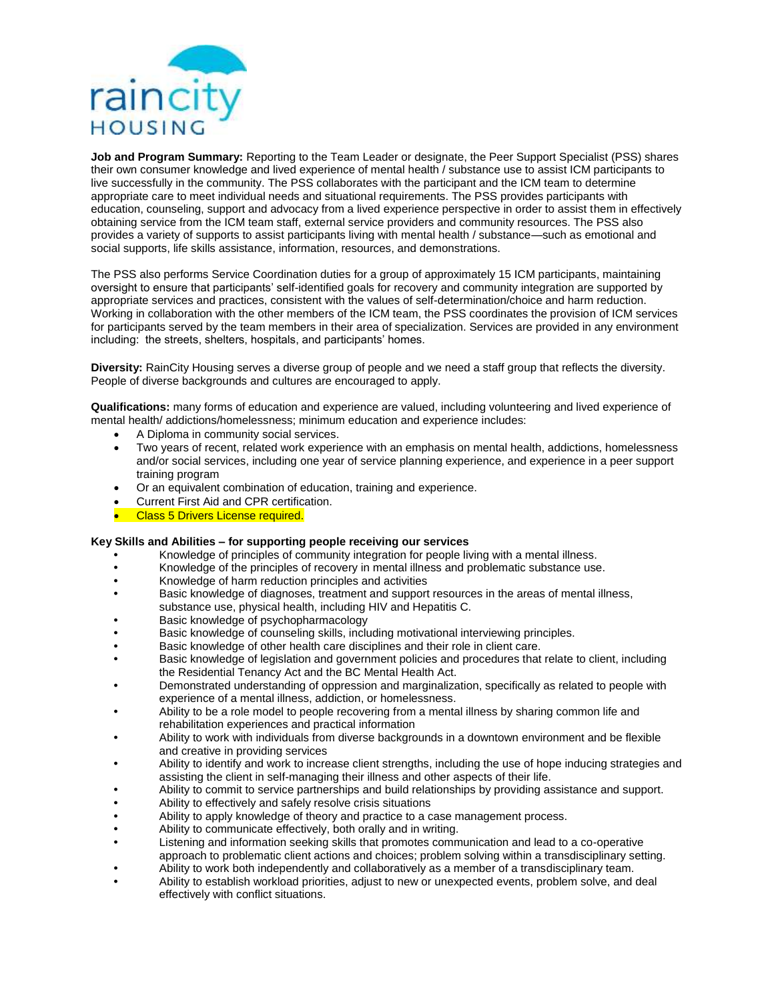

**Job and Program Summary:** Reporting to the Team Leader or designate, the Peer Support Specialist (PSS) shares their own consumer knowledge and lived experience of mental health / substance use to assist ICM participants to live successfully in the community. The PSS collaborates with the participant and the ICM team to determine appropriate care to meet individual needs and situational requirements. The PSS provides participants with education, counseling, support and advocacy from a lived experience perspective in order to assist them in effectively obtaining service from the ICM team staff, external service providers and community resources. The PSS also provides a variety of supports to assist participants living with mental health / substance—such as emotional and social supports, life skills assistance, information, resources, and demonstrations.

The PSS also performs Service Coordination duties for a group of approximately 15 ICM participants, maintaining oversight to ensure that participants' self-identified goals for recovery and community integration are supported by appropriate services and practices, consistent with the values of self-determination/choice and harm reduction. Working in collaboration with the other members of the ICM team, the PSS coordinates the provision of ICM services for participants served by the team members in their area of specialization. Services are provided in any environment including: the streets, shelters, hospitals, and participants' homes.

**Diversity:** RainCity Housing serves a diverse group of people and we need a staff group that reflects the diversity. People of diverse backgrounds and cultures are encouraged to apply.

**Qualifications:** many forms of education and experience are valued, including volunteering and lived experience of mental health/ addictions/homelessness; minimum education and experience includes:

- A Diploma in community social services.
- Two years of recent, related work experience with an emphasis on mental health, addictions, homelessness and/or social services, including one year of service planning experience, and experience in a peer support training program
- Or an equivalent combination of education, training and experience.
- Current First Aid and CPR certification.
- Class 5 Drivers License required.

## **Key Skills and Abilities – for supporting people receiving our services**

- **•** Knowledge of principles of community integration for people living with a mental illness.
- **•** Knowledge of the principles of recovery in mental illness and problematic substance use.
- **•** Knowledge of harm reduction principles and activities
- **•** Basic knowledge of diagnoses, treatment and support resources in the areas of mental illness, substance use, physical health, including HIV and Hepatitis C.
- **•** Basic knowledge of psychopharmacology
- **•** Basic knowledge of counseling skills, including motivational interviewing principles.
- **•** Basic knowledge of other health care disciplines and their role in client care.
- **•** Basic knowledge of legislation and government policies and procedures that relate to client, including the Residential Tenancy Act and the BC Mental Health Act.
- **•** Demonstrated understanding of oppression and marginalization, specifically as related to people with experience of a mental illness, addiction, or homelessness.
- **•** Ability to be a role model to people recovering from a mental illness by sharing common life and rehabilitation experiences and practical information
- **•** Ability to work with individuals from diverse backgrounds in a downtown environment and be flexible and creative in providing services
- **•** Ability to identify and work to increase client strengths, including the use of hope inducing strategies and assisting the client in self-managing their illness and other aspects of their life.
- **•** Ability to commit to service partnerships and build relationships by providing assistance and support.
- **•** Ability to effectively and safely resolve crisis situations
- **•** Ability to apply knowledge of theory and practice to a case management process.
- **•** Ability to communicate effectively, both orally and in writing.
- **•** Listening and information seeking skills that promotes communication and lead to a co-operative approach to problematic client actions and choices; problem solving within a transdisciplinary setting.
- **•** Ability to work both independently and collaboratively as a member of a transdisciplinary team.
- **•** Ability to establish workload priorities, adjust to new or unexpected events, problem solve, and deal effectively with conflict situations.